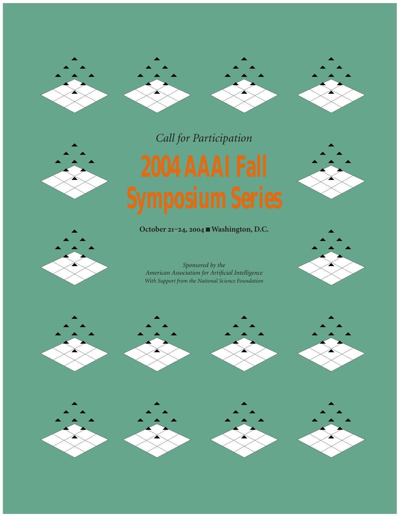







*Call for Participation*

**October 21-24, 2004 ■ Washington, D.C.** 





*Sponsored by the American Association for Artificial Intelligence With Support from the National Science Foundation*

















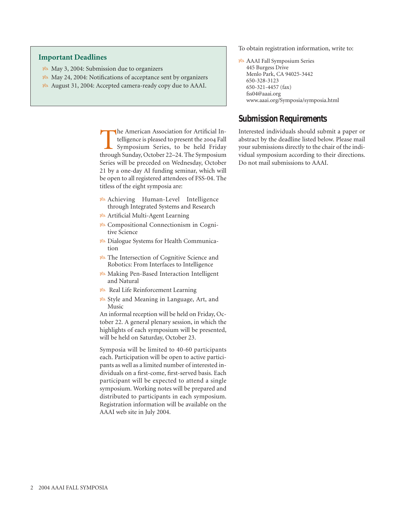#### **Important Deadlines**

- 8<sup>8</sup> May 3, 2004: Submission due to organizers
- May 24, 2004: Notifications of acceptance sent by organizers
- August 31, 2004: Accepted camera-ready copy due to AAAI.

The American Association for Artificial Intelligence is pleased to present the 2004 Fall<br>Symposium Series, to be held Friday<br>through Sunday October 22–24 The Symposium telligence is pleased to present the 2004 Fall Symposium Series, to be held Friday through Sunday, October 22–24. The Symposium Series will be preceded on Wednesday, October 21 by a one-day AI funding seminar, which will be open to all registered attendees of FSS-04. The titless of the eight symposia are:

- **B** Achieving Human-Level Intelligence through Integrated Systems and Research
- Artificial Multi-Agent Learning
- Compositional Connectionism in Cognitive Science
- Dialogue Systems for Health Communication
- **Pa** The Intersection of Cognitive Science and Robotics: From Interfaces to Intelligence
- Making Pen-Based Interaction Intelligent and Natural
- **Real Life Reinforcement Learning**
- Style and Meaning in Language, Art, and Music

An informal reception will be held on Friday, October 22. A general plenary session, in which the highlights of each symposium will be presented, will be held on Saturday, October 23.

Symposia will be limited to 40-60 participants each. Participation will be open to active participants as well as a limited number of interested individuals on a first-come, first-served basis. Each participant will be expected to attend a single symposium. Working notes will be prepared and distributed to participants in each symposium. Registration information will be available on the AAAI web site in July 2004.

To obtain registration information, write to:

 AAAI Fall Symposium Series 445 Burgess Drive Menlo Park, CA 94025-3442 650-328-3123 650-321-4457 (fax) fss04@aaai.org www.aaai.org/Symposia/symposia.html

#### **Submission Requirements**

Interested individuals should submit a paper or abstract by the deadline listed below. Please mail your submissions directly to the chair of the individual symposium according to their directions. Do not mail submissions to AAAI.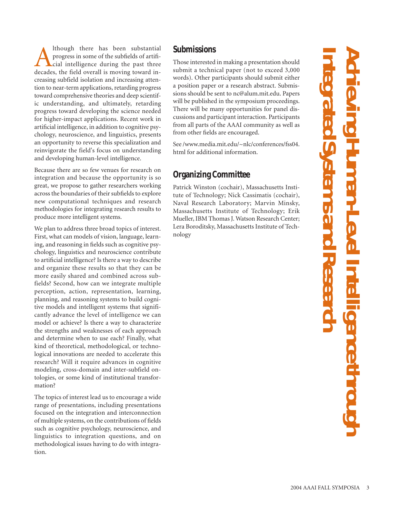A lthough there has been substantial<br>progress in some of the subfields of artifi-<br>cial intelligence during the past three<br>decades, the field overall is moving toward inprogress in some of the subfields of artificial intelligence during the past three decades, the field overall is moving toward increasing subfield isolation and increasing attention to near-term applications, retarding progress toward comprehensive theories and deep scientific understanding, and ultimately, retarding progress toward developing the science needed for higher-impact applications. Recent work in artificial intelligence, in addition to cognitive psychology, neuroscience, and linguistics, presents an opportunity to reverse this specialization and reinvigorate the field's focus on understanding and developing human-level intelligence.

Because there are so few venues for research on integration and because the opportunity is so great, we propose to gather researchers working across the boundaries of their subfields to explore new computational techniques and research methodologies for integrating research results to produce more intelligent systems.

We plan to address three broad topics of interest. First, what can models of vision, language, learning, and reasoning in fields such as cognitive psychology, linguistics and neuroscience contribute to artificial intelligence? Is there a way to describe and organize these results so that they can be more easily shared and combined across subfields? Second, how can we integrate multiple perception, action, representation, learning, planning, and reasoning systems to build cognitive models and intelligent systems that significantly advance the level of intelligence we can model or achieve? Is there a way to characterize the strengths and weaknesses of each approach and determine when to use each? Finally, what kind of theoretical, methodological, or technological innovations are needed to accelerate this research? Will it require advances in cognitive modeling, cross-domain and inter-subfield ontologies, or some kind of institutional transformation?

The topics of interest lead us to encourage a wide range of presentations, including presentations focused on the integration and interconnection of multiple systems, on the contributions of fields such as cognitive psychology, neuroscience, and linguistics to integration questions, and on methodological issues having to do with integration.

#### **Submissions**

Those interested in making a presentation should submit a technical paper (not to exceed 3,000 words). Other participants should submit either a position paper or a research abstract. Submissions should be sent to nc@alum.mit.edu. Papers will be published in the symposium proceedings. There will be many opportunities for panel discussions and participant interaction. Participants from all parts of the AAAI community as well as from other fields are encouraged.

See /www.media.mit.edu/~nlc/conferences/fss04. html for additional information.

# **Organizing Committee**

Patrick Winston (cochair), Massachusetts Institute of Technology; Nick Cassimatis (cochair), Naval Research Laboratory; Marvin Minsky, Massachusetts Institute of Technology; Erik Mueller, IBM Thomas J. Watson Research Center; Lera Boroditsky, Massachusetts Institute of Technology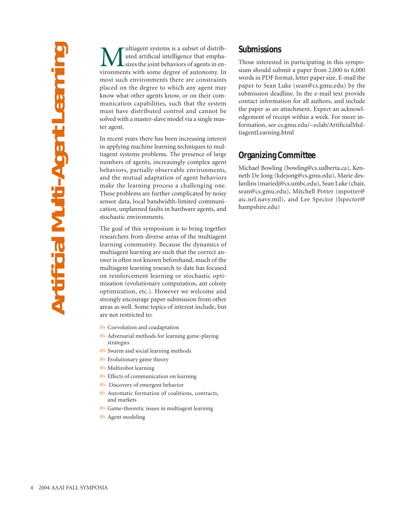**Multiagent systems is a subset of distrib-**<br>sizes the joint behaviors of agents in en-<br>vironments with some degree of autonomy. In uted artificial intelligence that emphasizes the joint behaviors of agents in environments with some degree of autonomy. In most such environments there are constraints placed on the degree to which any agent may know what other agents know, or on their communication capabilities, such that the system must have distributed control and cannot be solved with a master-slave model via a single master agent.

In recent years there has been increasing interest in applying machine learning techniques to multiagent systems problems. The presence of large numbers of agents, increasingly complex agent behaviors, partially observable environments, and the mutual adaptation of agent behaviors make the learning process a challenging one. These problems are further complicated by noisy sensor data, local bandwidth-limited communication, unplanned faults in hardware agents, and stochastic environments.

The goal of this symposium is to bring together researchers from diverse areas of the multiagent learning community. Because the dynamics of multiagent learning are such that the correct answer is often not known beforehand, much of the multiagent learning research to date has focused on reinforcement learning or stochastic optimization (evolutionary computation, ant colony optimization, etc.). However we welcome and strongly encourage paper submission from other areas as well. Some topics of interest include, but are not restricted to:

- Coevolution and coadaptation
- Adversarial methods for learning game-playing strategies
- Swarm and social learning methods
- **B** Evolutionary game theory
- Multirobot learning
- **B** Effects of communication on learning
- Discovery of emergent behavior
- Automatic formation of coalitions, contracts, and markets
- $\mathcal{B}$  Game-theoretic issues in multiagent learning
- **B** Agent modeling

#### **Submissions**

Those interested in participating in this symposium should submit a paper from 2,000 to 6,000 words in PDF format, letter paper size. E-mail the paper to Sean Luke (sean@cs.gmu.edu) by the submission deadline. In the e-mail text provide contact information for all authors, and include the paper as an attachment. Expect an acknowledgement of receipt within a week. For more information, see cs.gmu.edu/~eclab/ArtificialMultiagentLearning.html

#### **Organizing Committee**

Michael Bowling (bowling@cs.ualberta.ca), Kenneth De Jong (kdejong@cs.gmu.edu), Marie des-Jardins (mariedj@cs.umbc.edu), Sean Luke (chair, sean@cs.gmu.edu), Mitchell Potter (mpotter@ aic.nrl.navy.mil), and Lee Spector (lspector@ hampshire.edu)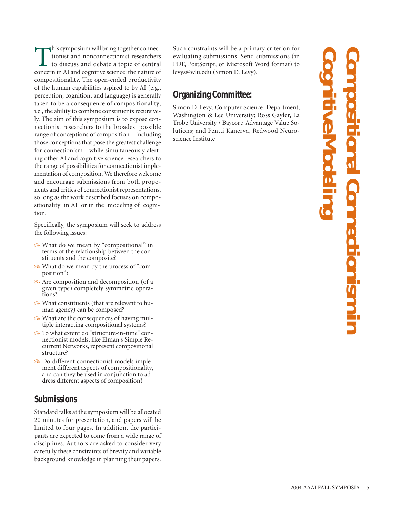this symposium will bring together connectionist and nonconnectionist researchers to discuss and debate a topic of central concern in AI and cognitive science: the nature of compositionality. The open-ended productivity of the human capabilities aspired to by AI (e.g., perception, cognition, and language) is generally taken to be a consequence of compositionality; i.e., the ability to combine constituents recursively. The aim of this symposium is to expose connectionist researchers to the broadest possible range of conceptions of composition—including those conceptions that pose the greatest challenge for connectionism—while simultaneously alerting other AI and cognitive science researchers to the range of possibilities for connectionist implementation of composition. We therefore welcome and encourage submissions from both proponents and critics of connectionist representations, so long as the work described focuses on compositionality in AI or in the modeling of cognition.

Specifically, the symposium will seek to address the following issues:

- **B** What do we mean by "compositional" in terms of the relationship between the constituents and the composite?
- What do we mean by the process of "composition"?
- Are composition and decomposition (of a given type) completely symmetric operations?
- **B** What constituents (that are relevant to human agency) can be composed?
- *B* What are the consequences of having multiple interacting compositional systems?
- To what extent do "structure-in-time" connectionist models, like Elman's Simple Recurrent Networks, represent compositional structure?
- Do different connectionist models implement different aspects of compositionality, and can they be used in conjunction to address different aspects of composition?

#### **Submissions**

Standard talks at the symposium will be allocated 20 minutes for presentation, and papers will be limited to four pages. In addition, the participants are expected to come from a wide range of disciplines. Authors are asked to consider very carefully these constraints of brevity and variable background knowledge in planning their papers.

Such constraints will be a primary criterion for evaluating submissions. Send submissions (in PDF, PostScript, or Microsoft Word format) to levys@wlu.edu (Simon D. Levy).

# **Organizing Committee:**

Simon D. Levy, Computer Science Department, Washington & Lee University; Ross Gayler, La Trobe University / Baycorp Advantage Value Solutions; and Pentti Kanerva, Redwood Neuroscience Institute

**Cognitive Compositional Connectionism in Modeling TSTUOTIST**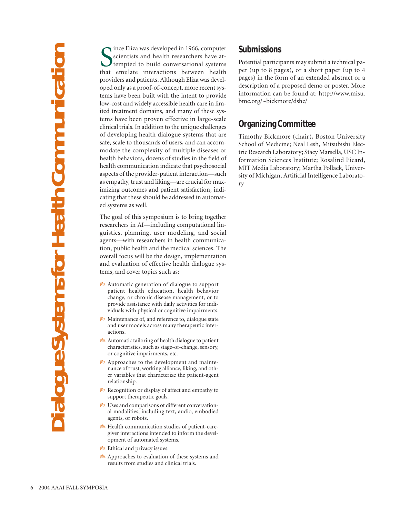Since Eliza was developed in 1966, computer<br>
scientists and health researchers have at-<br>
tempted to build conversational systems<br>
that emulate interactions between health ince Eliza was developed in 1966, computer scientists and health researchers have attempted to build conversational systems providers and patients. Although Eliza was developed only as a proof-of-concept, more recent systems have been built with the intent to provide low-cost and widely accessible health care in limited treatment domains, and many of these systems have been proven effective in large-scale clinical trials. In addition to the unique challenges of developing health dialogue systems that are safe, scale to thousands of users, and can accommodate the complexity of multiple diseases or health behaviors, dozens of studies in the field of health communication indicate that psychosocial aspects of the provider-patient interaction—such as empathy, trust and liking—are crucial for maximizing outcomes and patient satisfaction, indicating that these should be addressed in automated systems as well.

The goal of this symposium is to bring together researchers in AI—including computational linguistics, planning, user modeling, and social agents—with researchers in health communication, public health and the medical sciences. The overall focus will be the design, implementation and evaluation of effective health dialogue systems, and cover topics such as:

- Automatic generation of dialogue to support patient health education, health behavior change, or chronic disease management, or to provide assistance with daily activities for individuals with physical or cognitive impairments.
- Maintenance of, and reference to, dialogue state and user models across many therapeutic interactions.
- Automatic tailoring of health dialogue to patient characteristics, such as stage-of-change, sensory, or cognitive impairments, etc.
- Approaches to the development and maintenance of trust, working alliance, liking, and other variables that characterize the patient-agent relationship.
- **R**ecognition or display of affect and empathy to support therapeutic goals.
- Uses and comparisons of different conversational modalities, including text, audio, embodied agents, or robots.
- Health communication studies of patient-caregiver interactions intended to inform the development of automated systems.
- Ethical and privacy issues.
- Approaches to evaluation of these systems and results from studies and clinical trials.

#### **Submissions**

Potential participants may submit a technical paper (up to 8 pages), or a short paper (up to 4 pages) in the form of an extended abstract or a description of a proposed demo or poster. More information can be found at: http://www.misu. bmc.org/~bickmore/dshc/

#### **Organizing Committee**

Timothy Bickmore (chair), Boston University School of Medicine; Neal Lesh, Mitsubishi Electric Research Laboratory; Stacy Marsella, USC Information Sciences Institute; Rosalind Picard, MIT Media Laboratory; Martha Pollack, University of Michigan, Artificial Intelligence Laboratory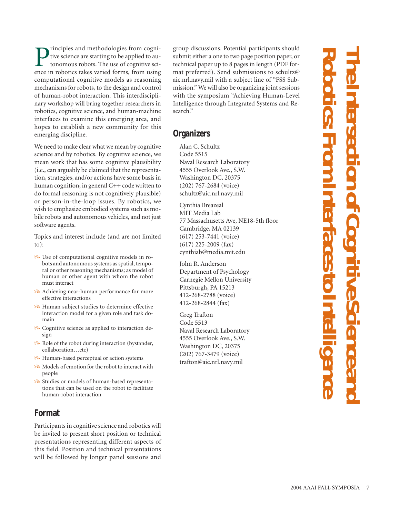**P**rinciples and methodologies from cognitive science are starting to be applied to autonomous robots. The use of cognitive science in robotics takes varied forms, from using tive science are starting to be applied to autonomous robots. The use of cognitive science in robotics takes varied forms, from using computational cognitive models as reasoning mechanisms for robots, to the design and control of human-robot interaction. This interdisciplinary workshop will bring together researchers in robotics, cognitive science, and human-machine interfaces to examine this emerging area, and hopes to establish a new community for this emerging discipline.

We need to make clear what we mean by cognitive science and by robotics. By cognitive science, we mean work that has some cognitive plausibility (i.e., can arguably be claimed that the representation, strategies, and/or actions have some basis in human cognition; in general C++ code written to do formal reasoning is not cognitively plausible) or person-in-the-loop issues. By robotics, we wish to emphasize embodied systems such as mobile robots and autonomous vehicles, and not just software agents.

Topics and interest include (and are not limited to):

- Use of computational cognitive models in robots and autonomous systems as spatial, temporal or other reasoning mechanisms; as model of human or other agent with whom the robot must interact
- Achieving near-human performance for more effective interactions
- Human subject studies to determine effective interaction model for a given role and task domain
- **B** Cognitive science as applied to interaction design
- $\mathcal{B}$  Role of the robot during interaction (by stander, collaboration…etc)
- Human-based perceptual or action systems
- 88 Models of emotion for the robot to interact with people
- Studies or models of human-based representations that can be used on the robot to facilitate human-robot interaction

## **Format**

Participants in cognitive science and robotics will be invited to present short position or technical presentations representing different aspects of this field. Position and technical presentations will be followed by longer panel sessions and

group discussions. Potential participants should submit either a one to two page position paper, or technical paper up to 8 pages in length (PDF format preferred). Send submissions to schultz@ aic.nrl.navy.mil with a subject line of "FSS Submission." We will also be organizing joint sessions with the symposium "Achieving Human-Level Intelligence through Integrated Systems and Research."

#### **Organizers**

Alan C. Schultz Code 5515 Naval Research Laboratory 4555 Overlook Ave., S.W. Washington DC, 20375 (202) 767-2684 (voice) schultz@aic.nrl.navy.mil

Cynthia Breazeal MIT Media Lab 77 Massachusetts Ave, NE18-5th floor Cambridge, MA 02139 (617) 253-7441 (voice) (617) 225-2009 (fax) cynthiab@media.mit.edu

John R. Anderson Department of Psychology Carnegie Mellon University Pittsburgh, PA 15213 412-268-2788 (voice) 412-268-2844 (fax)

Greg Trafton Code 5513 Naval Research Laboratory 4555 Overlook Ave., S.W. Washington DC, 20375 (202) 767-3479 (voice) trafton@aic.nrl.navy.mil

# **R The Intersection of Cognitive Science and oboti cs: From I nterfaces to I ntel li gence**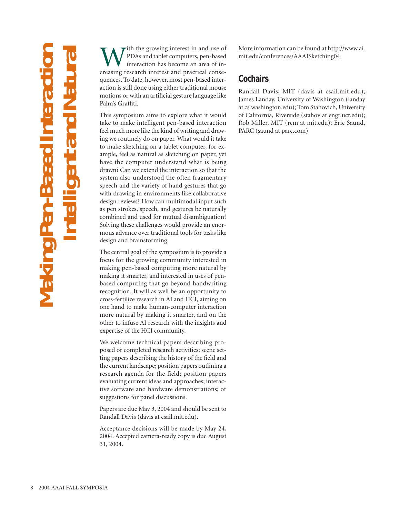**Making Pen-Based Interaction Intelligent and Natural Making Pe** 

With the growing interest in and use of<br>
IPDAs and tablet computers, pen-based<br>
interaction has become an area of in-<br>
creasing research interest and practical conse-PDAs and tablet computers, pen-based interaction has become an area of inquences. To date, however, most pen-based interaction is still done using either traditional mouse motions or with an artificial gesture language like Palm's Graffiti.

This symposium aims to explore what it would take to make intelligent pen-based interaction feel much more like the kind of writing and drawing we routinely do on paper. What would it take to make sketching on a tablet computer, for example, feel as natural as sketching on paper, yet have the computer understand what is being drawn? Can we extend the interaction so that the system also understood the often fragmentary speech and the variety of hand gestures that go with drawing in environments like collaborative design reviews? How can multimodal input such as pen strokes, speech, and gestures be naturally combined and used for mutual disambiguation? Solving these challenges would provide an enormous advance over traditional tools for tasks like design and brainstorming.

The central goal of the symposium is to provide a focus for the growing community interested in making pen-based computing more natural by making it smarter, and interested in uses of penbased computing that go beyond handwriting recognition. It will as well be an opportunity to cross-fertilize research in AI and HCI, aiming on one hand to make human-computer interaction more natural by making it smarter, and on the other to infuse AI research with the insights and expertise of the HCI community.

We welcome technical papers describing proposed or completed research activities; scene setting papers describing the history of the field and the current landscape; position papers outlining a research agenda for the field; position papers evaluating current ideas and approaches; interactive software and hardware demonstrations; or suggestions for panel discussions.

Papers are due May 3, 2004 and should be sent to Randall Davis (davis at csail.mit.edu).

Acceptance decisions will be made by May 24, 2004. Accepted camera-ready copy is due August 31, 2004.

More information can be found at http://www.ai. mit.edu/conferences/AAAISketching04

# **Cochairs**

Randall Davis, MIT (davis at csail.mit.edu); James Landay, University of Washington (landay at cs.washington.edu); Tom Stahovich, University of California, Riverside (stahov at engr.ucr.edu); Rob Miller, MIT (rcm at mit.edu); Eric Saund, PARC (saund at parc.com)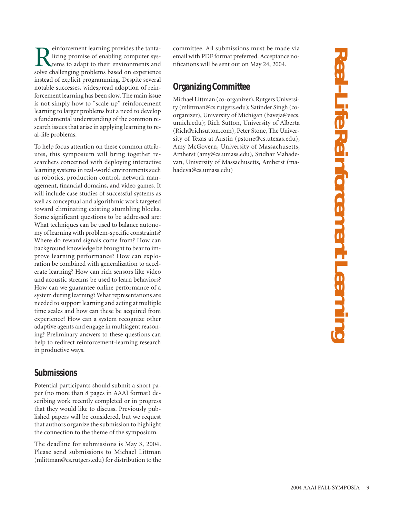**Real-Life Reinforcement Learning** Real-Life Reinforcement Learnir

Reinforcement learning provides the tanta-<br>lizing promise of enabling computer sys-<br>tems to adapt to their environments and<br>solve challenging problems based on experience lizing promise of enabling computer systems to adapt to their environments and solve challenging problems based on experience instead of explicit programming. Despite several notable successes, widespread adoption of reinforcement learning has been slow. The main issue is not simply how to "scale up" reinforcement learning to larger problems but a need to develop a fundamental understanding of the common research issues that arise in applying learning to real-life problems.

To help focus attention on these common attributes, this symposium will bring together researchers concerned with deploying interactive learning systems in real-world environments such as robotics, production control, network management, financial domains, and video games. It will include case studies of successful systems as well as conceptual and algorithmic work targeted toward eliminating existing stumbling blocks. Some significant questions to be addressed are: What techniques can be used to balance autonomy of learning with problem-specific constraints? Where do reward signals come from? How can background knowledge be brought to bear to improve learning performance? How can exploration be combined with generalization to accelerate learning? How can rich sensors like video and acoustic streams be used to learn behaviors? How can we guarantee online performance of a system during learning? What representations are needed to support learning and acting at multiple time scales and how can these be acquired from experience? How can a system recognize other adaptive agents and engage in multiagent reasoning? Preliminary answers to these questions can help to redirect reinforcement-learning research in productive ways.

#### **Submissions**

Potential participants should submit a short paper (no more than 8 pages in AAAI format) describing work recently completed or in progress that they would like to discuss. Previously published papers will be considered, but we request that authors organize the submission to highlight the connection to the theme of the symposium.

The deadline for submissions is May 3, 2004. Please send submissions to Michael Littman (mlittman@cs.rutgers.edu) for distribution to the

committee. All submissions must be made via email with PDF format preferred. Acceptance notifications will be sent out on May 24, 2004.

# **Organizing Committee**

Michael Littman (co-organizer), Rutgers University (mlittman@cs.rutgers.edu); Satinder Singh (coorganizer), University of Michigan (baveja@eecs. umich.edu); Rich Sutton, University of Alberta (Rich@richsutton.com), Peter Stone, The University of Texas at Austin (pstone@cs.utexas.edu), Amy McGovern, University of Massachusetts, Amherst (amy@cs.umass.edu), Sridhar Mahadevan, University of Massachusetts, Amherst (mahadeva@cs.umass.edu)